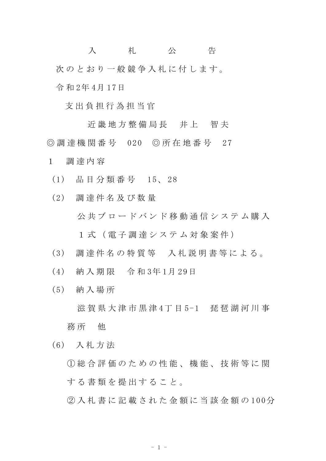入 札 公 告 次のとおり一般競争入札に付します。 令 和 2年 4月 17日

支 出 負 担 行 為 担 当 官

近 畿 地 方 整 備 局 長 并 上 智 夫 ◎ 調 達 機 関 番 号 020 ◎ 所 在 地 番 号 27 1 調 達 内 容

- (1) 品 目 分 類 番 号 15、 28
- (2) 調 達 件 名 及 び 数 量 公共ブロードバンド移動通信システム購入 1 式 (電子調達システム対象案件)
- (3) 調 達 件 名 の 特 質 等 入 札 説 明 書 等 に よ る 。
- (4) 納 入 期 限 令 和 3年 1月 29日
- (5) 納 入 場 所

滋 賀 県 大 津 市 黒 津 4 丁 目 5-1 ま 琵 湖 河 川 事

務 所 他

(6) 入 札 方 法

① 総 合 評 価 の た め の 性 能 、 機 能 、 技 術 等 に 関 する書類を提出すること。

② 入 札 書 に 記 載 さ れ た 金 額 に 当 該 金 額 の 100分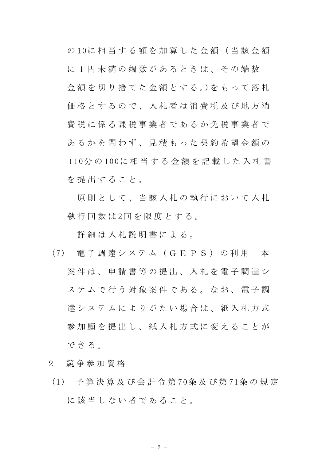の 10に 相 当 す る 額 を 加 算 し た 金 額 ( 当 該 金 額 に 1 円 未 満 の 端 数 が あ る と き は 、 そ の 端 数 金額を切り捨てた金額とする。)をもって落札 価格とするので、入札者は消費税及び地方消 費 税 に 係 る 課 税 事 業 者 で あ る か 免 税 事 業 者 で あるかを問わず、見積もった契約希望金額の 110分 の 100に 相 当 す る 金 額 を 記 載 し た 入 札 書 を 提 出 す る こ と 。

原則として、当該入札の執行において入札 執行回数は2回を限度とする。

詳細は入札説明書による。

- (7) 電 子 調 達 シ ス テ ム ( G E P S ) の 利 用 本 案 件 は 、 申 請 書 等 の 提 出 、 入 札 を 電 子 調 達 シ ステムで行う対象案件である。なお、電子調 達 シ ス テ ム に よ り が た い 場 合 は 、 紙 入 札 方 式 参加願を提出し、紙入札方式に変えることが で き る 。
- 2 競 争 参 加 資 格
- (1) 予 算 決 算 及 び 会 計 令 第 70条 及 び 第 71条 の 規 定 に該当しない者であること。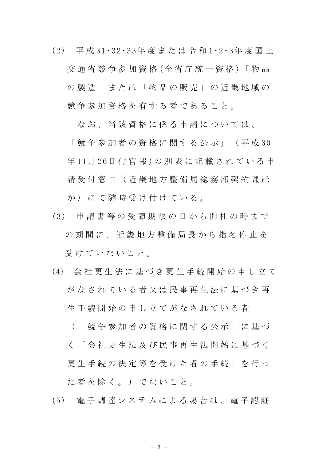(2) 平 成 31・32・33年 度 ま た は 令 和 1・2・3年 度 国 土 交 通 省 競 争 参 加 資 格 (全 省 庁 統 一 資 格 )「 物 品 の製造」または「物品の販売」の近畿地域の 競争参加資格を有する者であること。

なお、当該資格に係る申請については、

「 競 争 参 加 者 の 資 格 に 関 す る 公 示 」 ( 平 成 30 年 11月 26日 付 官 報 )の 別 表 に 記 載 さ れ て い る 申 請 受 付 窓 口 ( 近 畿 地 方 整 備 局 総 務 部 契 約 課 ほ か)にて随時受け付けている。

- (3) 申 請 書 等 の 受 領 期 限 の 日 か ら 開 札 の 時 ま で の 期 間 に 、 近 畿 地 方 整 備 局 長 か ら 指 名 停 止 を 受 け て い な い こ と 。
- (4) 会 社 更 生 法 に 基 づ き 更 生 手 続 開 始 の 申 し 立 て がなされている者又は民事再生法に基づき再 生 手 続 開 始 の 申 し 立 て が な さ れ て い る 者

( 「 競 争 参 加 者 の 資 格 に 関 す る 公 示 」 に 基 づ く 「 会 社 更 生 法 及 び 民 事 再 生 法 開 始 に 基 づ く 更 生 手 続 の 決 定 等 を 受 け た 者 の 手 続 」 を 行 っ た 者 を 除 く 。 ) で な い こ と 。

(5) 電 子 調 達 シ ス テ ム に よ る 場 合 は 、 電 子 認 証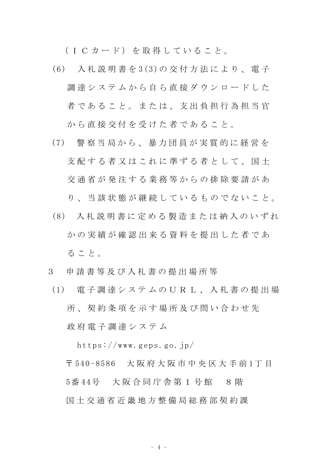(ICカード)を取得していること。

- (6) 入 札 説 明 書 を 3(3)の 交 付 方 法 に よ り 、 電 子 調達システムから自ら直接ダウンロードした 者であること。または、支出負担行為担当官 から直接交付を受けた者であること。
- (7) 警 察 当 局 か ら 、 暴 力 団 員 が 実 質 的 に 経 営 を 支 配 す る 者 又 は こ れ に 準 ず る 者 と し て 、 国 十 交 通 省 が 発 注 す る 業 務 等 か ら の 排 除 要 請 が あ

り、当 該 状 熊 が 継 続 し て い る も の で な い こ と 。

- (8) 入 札 説 明 書 に 定 め る 製 造 ま た は 納 入 の い ず れ かの実績が確認出来る資料を提出した者であ る こ と 。
- 3 申 請 書 等 及 び 入 札 書 の 提 出 場 所 等
	- (1) 電 子 調 達 シ ス テ ム の U R L 、 入 札 書 の 提 出 場 所 、 契 約 条 項 を 示 す 場 所 及 び 問 い 合 わ せ 先 政 府 電 子 調 達 シ ス テ ム

https://www.geps.go.jp/

〒 540-8586 大 阪 府 大 阪 市 中 央 区 大 手 前 1丁 目 5番 44号 大 阪 合 同 庁 舎 第 1 号 館 8 階 国 土 交 通 省 近 畿 地 方 整 備 局 総 務 部 契 約 課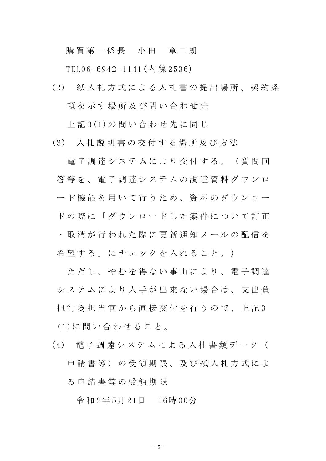## 購買第一係長 小田 章二朗

TEL06-6942-1141(内 線 2536)

(2) 紙 入 札 方 式 に よ る 入 札 書 の 提 出 場 所 、 契 約 条 項を示す場所及び問い合わせ先

上 記 3(1)の 問 い 合 わ せ 先 に 同 じ

(3) 入 札 説 明 書 の 交 付 す る 場 所 及 び 方 法

電 子 調 達 シ ス テ ム に よ り 交 付 す る 。 (質 問 回 答 等 を 、 電 子 調 達 シ ス テ ム の 調 達 資 料 ダ ウ ン ロ ード機能を用いて行うため、資料のダウンロー ドの際に「ダウンロードした案件について訂正 ・ 取 消 が 行 わ れ た 際 に 更 新 通 知 メ ー ル の 配 信 を 希 望 す る 」 に チ ェ ッ ク を 入 れ る こ と 。 )

ただし、やむを得ない事由により、電子調達 シ ス テ ム に よ り 入 手 が 出 来 な い 場 合 は 、 支 出 負 担 行 為 担 当 官 か ら 直 接 交 付 を 行 う の で 、 上 記 3 (1)に 問 い 合 わ せ る こ と 。

(4) 電 子 調 達 シ ス テ ム に よ る 入 札 書 類 デ ー タ ( 申請書等)の受領期限、及び紙入札方式によ る 申 請 書 等 の 受 領 期 限

令 和 2年 5月 21日 16時 00分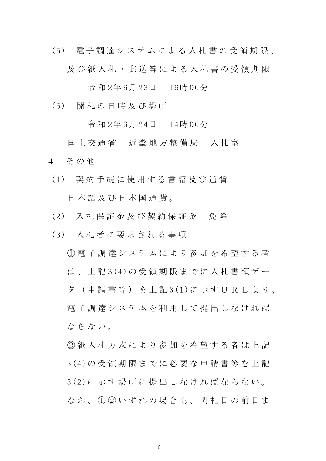(5) 電 子 調 達 シ ス テ ム に よ る 入 札 書 の 受 領 期 限 、 及 び 紙 入 札 ・ 郵 送 等 に よ る 入 札 書 の 受 領 期 限

令 和 2年 6月 23日 16時 00分

(6) 開 札 の 日 時 及 び 場 所

令 和 2年 6月 24日 14時 00分

国 土 交 通 省 近 畿 地 方 整 備 局 入 札 室 4 その他

- (1) 契 約 手 続 に 使 用 す る 言 語 及 び 通 貨 日 本 語 及 び 日 本 国 通 貨 。
- (2) 入 札 保 証 金 及 び 契 約 保 証 金 免 除
- (3) 入 札 者 に 要 求 さ れ る 事 項

 $(1)$  電 子 調 達 シ ス テ ム に よ り 参 加 を 希 望 す る 者 は 、 上 記 3(4)の 受 領 期 限 ま で に 入 札 書 類 デ ー タ ( 申 請 書 等 ) を 上 記 3(1)に 示 す U R L よ り 、 電 子 調 達 シ ス テ ム を 利 用 し て 提 出 し な け れ ば ならない。

② 紙 入 札 方 式 に よ り 参 加 を 希 望 す る 者 は 上 記 3(4)の 受 領 期 限 ま で に 必 要 な 申 請 書 等 を 上 記 3(2)に 示 す 場 所 に 提 出 し な け れ ば な ら な い 。 なお、1020いずれの場合も、開札日の前日ま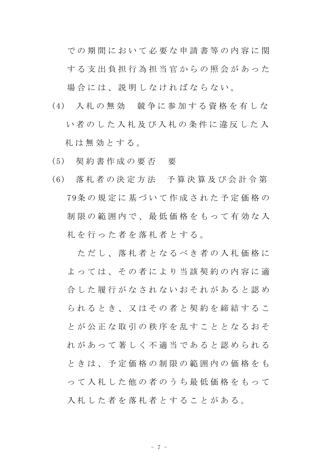で の 期 間 に お い て 必 要 な 申 請 書 等 の 内 容 に 関 する支出負担行為担当官からの照会があった 場合には、説明しなければならない。

- (4) 入 札 の 無 効 競 争 に 参 加 す る 資 格 を 有 し な い者のした入札及び入札の条件に違反した入 札 は 無 効 と す る 。
- (5) 契 約 書 作 成 の 要 否 要
- (6) 落 札 者 の 決 定 方 法 予 算 決 算 及 び 会 計 令 第 79条 の 規 定 に 基 づ い て 作 成 さ れ た 予 定 価 格 の 制 限 の 範 囲 内 で 、 最 低 価 格 を も っ て 有 効 な 入 札を行った者を落札者とする。

ただし、落札者となるべき者の入札価格に よっては、その者により当該契約の内容に適 合 した 履 行 が な さ れ な い お そ れ が あ る と 認 め ら れ る と き 、 又 は そ の 者 と 契 約 を 締 結 す る こ と が 公 正 な 取 引 の 秩 序 を 乱 す こ と と な る お そ れ が あ っ て 著 し く 不 適 当 で あ る と 認 め ら れ る と き は 、 予 定 価 格 の 制 限 の 範 囲 内 の 価 格 を も っ て 入 札 し た 他 の 者 の う ち 最 低 価 格 を も っ て 入札した者を落札者とすることがある。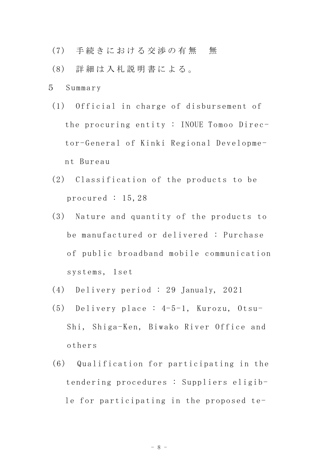- (7) 手続きにおける交渉の有無 無
- (8) 詳 細 は 入 札 説 明 書 に よ る 。
- 5 Summary
- (1) Official in charge of disbursement of the procuring entity : INOUE Tomoo Director-General of Kinki Regional Development Bureau
- (2) Classification of the products to be procured : 15,28
- (3) Nature and quantity of the products to be manufactured or delivered : Purchase of public broadband mobile communication systems, 1set
- (4) Delivery period : 29 Janualy, 2021
- (5) Delivery place : 4-5-1, Kurozu, Otsu-Shi, Shiga-Ken, Biwako River Office and others
- (6) Qualification for participating in the tendering procedures : Suppliers eligible for participating in the proposed te-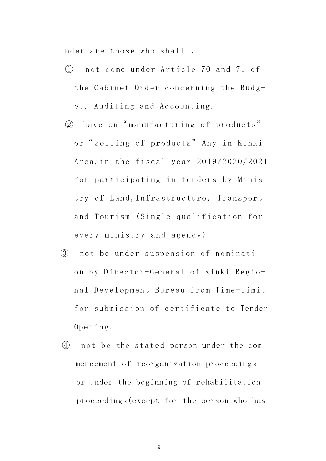nder are those who shall :

- ① not come under Article 70 and 71 of the Cabinet Order concerning the Budget, Auditing and Accounting.
- ② have on" manufacturing of products" or" selling of products" Any in Kinki Area,in the fiscal year 2019/2020/2021 for participating in tenders by Ministry of Land,Infrastructure, Transport and Tourism (Single qualification for every ministry and agency)
- ③ not be under suspension of nomination by Director-General of Kinki Regional Development Bureau from Time-limit for submission of certificate to Tender Opening.
- ④ not be the stated person under the commencement of reorganization proceedings or under the beginning of rehabilitation proceedings(except for the person who has

- 9 -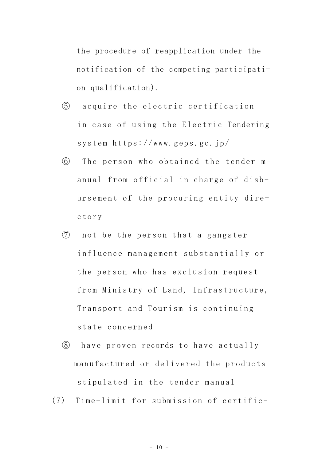the procedure of reapplication under the notification of the competing participation qualification).

- ⑤ acquire the electric certification in case of using the Electric Tendering system https://www.geps.go.jp/
- ⑥ The person who obtained the tender manual from official in charge of disbursement of the procuring entity directory
- ⑦ not be the person that a gangster influence management substantially or the person who has exclusion request from Ministry of Land, Infrastructure, Transport and Tourism is continuing state concerned
- ⑧ have proven records to have actually manufactured or delivered the products stipulated in the tender manual
- (7) Time-limit for submission of certific-